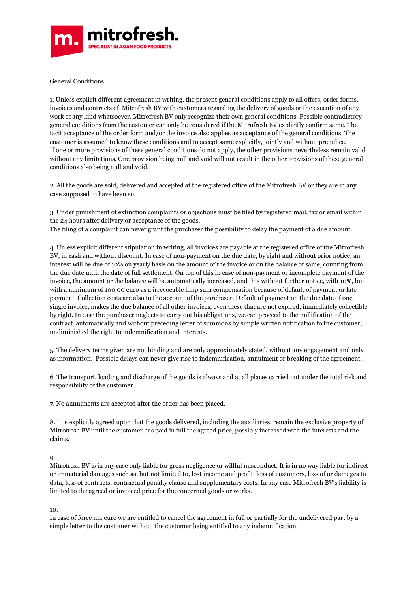

General Conditions

1. Unless explicit different agreement in writing, the present general conditions apply to all offers, order forms, invoices and contracts of Mitrofresh BV with customers regarding the delivery of goods or the execution of any work of any kind whatsoever. Mitrofresh BV only recognize their own general conditions. Possible contradictory general conditions from the customer can only be considered if the Mitrofresh BV explicitly confirm same. The tacit acceptance of the order form and/or the invoice also applies as acceptance of the general conditions. The customer is assumed to know these conditions and to accept same explicitly, jointly and without prejudice. If one or more provisions of these general conditions do not apply, the other provisions nevertheless remain valid without any limitations. One provision being null and void will not result in the other provisions of these general conditions also being null and void.

2. All the goods are sold, delivered and accepted at the registered office of the Mitrofresh BV or they are in any case supposed to have been so.

3. Under punishment of extinction complaints or objections must be filed by registered mail, fax or email within the 24 hours after delivery or acceptance of the goods. The filing of a complaint can never grant the purchaser the possibility to delay the payment of a due amount.

4. Unless explicit different stipulation in writing, all invoices are payable at the registered office of the Mitrofresh BV, in cash and without discount. In case of non-payment on the due date, by right and without prior notice, an interest will be due of 10% on yearly basis on the amount of the invoice or on the balance of same, counting from the due date until the date of full settlement. On top of this in case of non-payment or incomplete payment of the invoice, the amount or the balance will be automatically increased, and this without further notice, with 10%, but with a minimum of 100.00 euro as a irrevocable limp sum compensation because of default of payment or late payment. Collection costs are also to the account of the purchaser. Default of payment on the due date of one single invoice, makes the due balance of all other invoices, even these that are not expired, immediately collectible by right. In case the purchaser neglects to carry out his obligations, we can proceed to the nullification of the contract, automatically and without preceding letter of summons by simple written notification to the customer, undiminished the right to indemnification and interests.

5. The delivery terms given are not binding and are only approximately stated, without any engagement and only as information. Possible delays can never give rise to indemnification, annulment or breaking of the agreement.

6. The transport, loading and discharge of the goods is always and at all places carried out under the total risk and responsibility of the customer.

7. No annulments are accepted after the order has been placed.

8. It is explicitly agreed upon that the goods delivered, including the auxiliaries, remain the exclusive property of Mitrofresh BV until the customer has paid in full the agreed price, possibly increased with the interests and the claims.

9.

Mitrofresh BV is in any case only liable for gross negligence or willful misconduct. It is in no way liable for indirect or immaterial damages such as, but not limited to, lost income and profit, loss of customers, loss of or damages to data, loss of contracts, contractual penalty clause and supplementary costs. In any case Mitrofresh BV's liability is limited to the agreed or invoiced price for the concerned goods or works.

10.

In case of force majeure we are entitled to cancel the agreement in full or partially for the undelivered part by a simple letter to the customer without the customer being entitled to any indemnification.